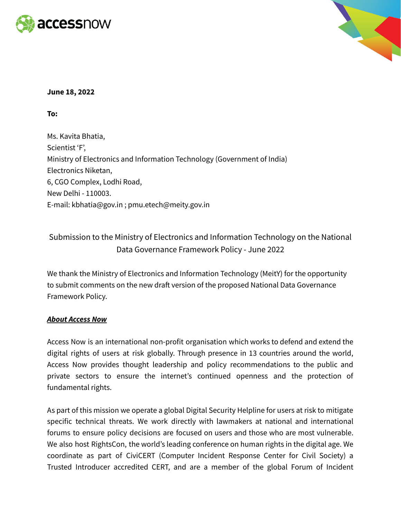



# **June 18, 2022**

# **To:**

Ms. Kavita Bhatia, Scientist 'F', Ministry of Electronics and Information Technology (Government of India) Electronics Niketan, 6, CGO Complex, Lodhi Road, New Delhi - 110003. E-mail: [kbhatia@gov.in](mailto:kbhatia@gov.in) ; [pmu.etech@meity.gov.in](mailto:pmu.etech@meity.gov.in)

# Submission to the Ministry of Electronics and Information Technology on the National Data Governance Framework Policy - June 2022

We thank the Ministry of Electronics and Information Technology (MeitY) for the opportunity to submit comments on the new draft version of the proposed National Data Governance Framework Policy.

#### *About Access Now*

Access Now is an international non-profit organisation which works to defend and extend the digital rights of users at risk globally. Through presence in 13 countries around the world, Access Now provides thought leadership and policy recommendations to the public and private sectors to ensure the internet's continued openness and the protection of fundamental rights.

As part of this mission we operate a global Digital Security Helpline for users at risk to mitigate specific technical threats. We work directly with lawmakers at national and international forums to ensure policy decisions are focused on users and those who are most vulnerable. We also host RightsCon, the world's leading conference on human rights in the digital age. We coordinate as part of CiviCERT (Computer Incident Response Center for Civil Society) a Trusted Introducer accredited CERT, and are a member of the global Forum of Incident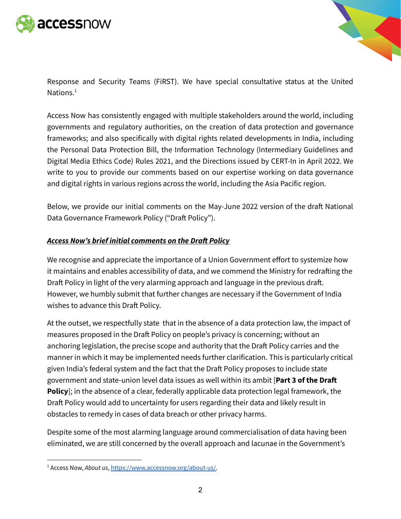



Response and Security Teams (FiRST). We have special consultative status at the United Nations.<sup>1</sup>

Access Now has consistently engaged with multiple stakeholders around the world, including governments and regulatory authorities, on the creation of data protection and governance frameworks; and also specifically with digital rights related developments in India, including the Personal Data Protection Bill, the Information Technology (Intermediary Guidelines and Digital Media Ethics Code) Rules 2021, and the Directions issued by CERT-In in April 2022. We write to you to provide our comments based on our expertise working on data governance and digital rights in various regions across the world, including the Asia Pacific region.

Below, we provide our initial comments on the May-June 2022 version of the draft National Data Governance Framework Policy ("Draft Policy").

# *Access Now's brief initial comments on the Draft Policy*

We recognise and appreciate the importance of a Union Government effort to systemize how it maintains and enables accessibility of data, and we commend the Ministry for redrafting the Draft Policy in light of the very alarming approach and language in the previous draft. However, we humbly submit that further changes are necessary if the Government of India wishes to advance this Draft Policy.

At the outset, we respectfully state that in the absence of a data protection law, the impact of measures proposed in the Draft Policy on people's privacy is concerning; without an anchoring legislation, the precise scope and authority that the Draft Policy carries and the manner in which it may be implemented needs further clarification. This is particularly critical given India's federal system and the fact that the Draft Policy proposes to include state government and state-union level data issues as well within its ambit [**Part 3 of the Draft Policy**]; in the absence of a clear, federally applicable data protection legal framework, the Draft Policy would add to uncertainty for users regarding their data and likely result in obstacles to remedy in cases of data breach or other privacy harms.

Despite some of the most alarming language around commercialisation of data having been eliminated, we are still concerned by the overall approach and lacunae in the Government's

<sup>1</sup> Access Now, *About us*, [https://www.accessnow.org/about-us/.](https://www.accessnow.org/about-us/)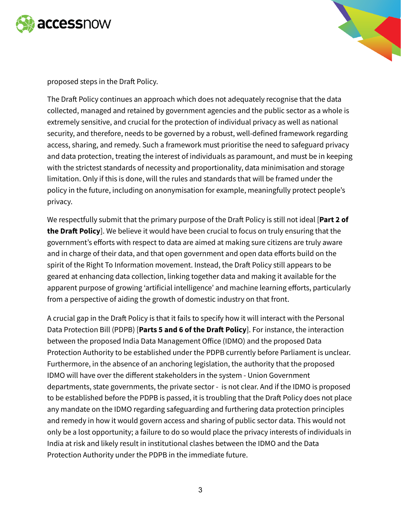



proposed steps in the Draft Policy.

The Draft Policy continues an approach which does not adequately recognise that the data collected, managed and retained by government agencies and the public sector as a whole is extremely sensitive, and crucial for the protection of individual privacy as well as national security, and therefore, needs to be governed by a robust, well-defined framework regarding access, sharing, and remedy. Such a framework must prioritise the need to safeguard privacy and data protection, treating the interest of individuals as paramount, and must be in keeping with the strictest standards of necessity and proportionality, data minimisation and storage limitation. Only if this is done, will the rules and standards that will be framed under the policy in the future, including on anonymisation for example, meaningfully protect people's privacy.

We respectfully submit that the primary purpose of the Draft Policy is still not ideal [**Part 2 of the Draft Policy**]. We believe it would have been crucial to focus on truly ensuring that the government's efforts with respect to data are aimed at making sure citizens are truly aware and in charge of their data, and that open government and open data efforts build on the spirit of the Right To Information movement. Instead, the Draft Policy still appears to be geared at enhancing data collection, linking together data and making it available for the apparent purpose of growing 'artificial intelligence' and machine learning efforts, particularly from a perspective of aiding the growth of domestic industry on that front.

A crucial gap in the Draft Policy is that it fails to specify how it will interact with the Personal Data Protection Bill (PDPB) [**Parts 5 and 6 of the Draft Policy**]. For instance, the interaction between the proposed India Data Management Office (IDMO) and the proposed Data Protection Authority to be established under the PDPB currently before Parliament is unclear. Furthermore, in the absence of an anchoring legislation, the authority that the proposed IDMO will have over the different stakeholders in the system - Union Government departments, state governments, the private sector - is not clear. And if the IDMO is proposed to be established before the PDPB is passed, it is troubling that the Draft Policy does not place any mandate on the IDMO regarding safeguarding and furthering data protection principles and remedy in how it would govern access and sharing of public sector data. This would not only be a lost opportunity; a failure to do so would place the privacy interests of individuals in India at risk and likely result in institutional clashes between the IDMO and the Data Protection Authority under the PDPB in the immediate future.